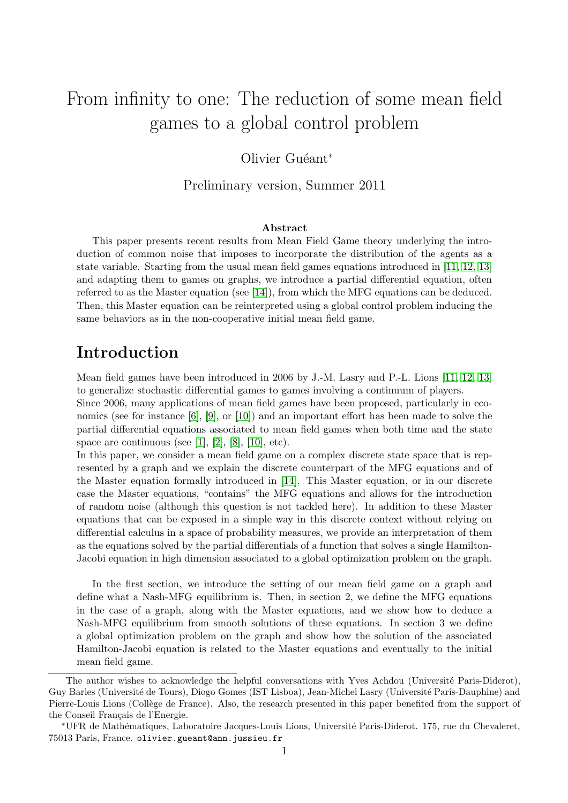# From infinity to one: The reduction of some mean field games to a global control problem

### Olivier Guéant<sup>∗</sup>

Preliminary version, Summer 2011

#### Abstract

This paper presents recent results from Mean Field Game theory underlying the introduction of common noise that imposes to incorporate the distribution of the agents as a state variable. Starting from the usual mean field games equations introduced in [\[11,](#page-11-0) [12,](#page-11-1) [13\]](#page-11-2) and adapting them to games on graphs, we introduce a partial differential equation, often referred to as the Master equation (see [\[14\]](#page-11-3)), from which the MFG equations can be deduced. Then, this Master equation can be reinterpreted using a global control problem inducing the same behaviors as in the non-cooperative initial mean field game.

### Introduction

Mean field games have been introduced in 2006 by J.-M. Lasry and P.-L. Lions [\[11,](#page-11-0) [12,](#page-11-1) [13\]](#page-11-2) to generalize stochastic differential games to games involving a continuum of players.

Since 2006, many applications of mean field games have been proposed, particularly in economics (see for instance [\[6\]](#page-11-4), [\[9\]](#page-11-5), or [\[10\]](#page-11-6)) and an important effort has been made to solve the partial differential equations associated to mean field games when both time and the state space are continuous (see [\[1\]](#page-11-7), [\[2\]](#page-11-8), [\[8\]](#page-11-9), [\[10\]](#page-11-6), etc).

In this paper, we consider a mean field game on a complex discrete state space that is represented by a graph and we explain the discrete counterpart of the MFG equations and of the Master equation formally introduced in [\[14\]](#page-11-3). This Master equation, or in our discrete case the Master equations, "contains" the MFG equations and allows for the introduction of random noise (although this question is not tackled here). In addition to these Master equations that can be exposed in a simple way in this discrete context without relying on differential calculus in a space of probability measures, we provide an interpretation of them as the equations solved by the partial differentials of a function that solves a single Hamilton-Jacobi equation in high dimension associated to a global optimization problem on the graph.

In the first section, we introduce the setting of our mean field game on a graph and define what a Nash-MFG equilibrium is. Then, in section 2, we define the MFG equations in the case of a graph, along with the Master equations, and we show how to deduce a Nash-MFG equilibrium from smooth solutions of these equations. In section 3 we define a global optimization problem on the graph and show how the solution of the associated Hamilton-Jacobi equation is related to the Master equations and eventually to the initial mean field game.

The author wishes to acknowledge the helpful conversations with Yves Achdou (Université Paris-Diderot), Guy Barles (Université de Tours), Diogo Gomes (IST Lisboa), Jean-Michel Lasry (Université Paris-Dauphine) and Pierre-Louis Lions (Collège de France). Also, the research presented in this paper benefited from the support of the Conseil Français de l'Energie.

<sup>∗</sup>UFR de Math´ematiques, Laboratoire Jacques-Louis Lions, Universit´e Paris-Diderot. 175, rue du Chevaleret, 75013 Paris, France. olivier.gueant@ann.jussieu.fr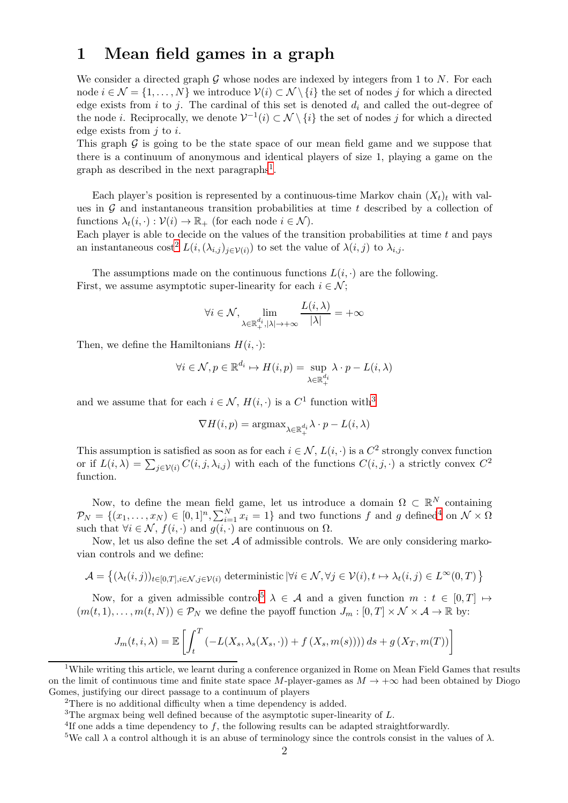### 1 Mean field games in a graph

We consider a directed graph G whose nodes are indexed by integers from 1 to N. For each node  $i \in \mathcal{N} = \{1, \ldots, N\}$  we introduce  $\mathcal{V}(i) \subset \mathcal{N} \setminus \{i\}$  the set of nodes j for which a directed edge exists from i to j. The cardinal of this set is denoted  $d_i$  and called the out-degree of the node *i*. Reciprocally, we denote  $V^{-1}(i) \subset \mathcal{N} \setminus \{i\}$  the set of nodes j for which a directed edge exists from  $i$  to  $i$ .

This graph  $\mathcal G$  is going to be the state space of our mean field game and we suppose that there is a continuum of anonymous and identical players of size 1, playing a game on the graph as described in the next paragraphs<sup>1</sup>.

Each player's position is represented by a continuous-time Markov chain  $(X_t)_t$  with values in  $G$  and instantaneous transition probabilities at time t described by a collection of functions  $\lambda_t(i, \cdot) : \mathcal{V}(i) \to \mathbb{R}_+$  (for each node  $i \in \mathcal{N}$ ).

Each player is able to decide on the values of the transition probabilities at time  $t$  and pays an instantaneous cost<sup>2</sup>  $L(i, (\lambda_{i,j})_{j \in \mathcal{V}(i)})$  to set the value of  $\lambda(i,j)$  to  $\lambda_{i,j}$ .

The assumptions made on the continuous functions  $L(i, \cdot)$  are the following. First, we assume asymptotic super-linearity for each  $i \in \mathcal{N}$ ;

$$
\forall i \in \mathcal{N}, \lim_{\lambda \in \mathbb{R}^{d_i}_{+}, |\lambda| \to +\infty} \frac{L(i, \lambda)}{|\lambda|} = +\infty
$$

Then, we define the Hamiltonians  $H(i, \cdot)$ :

$$
\forall i \in \mathcal{N}, p \in \mathbb{R}^{d_i} \mapsto H(i, p) = \sup_{\lambda \in \mathbb{R}_+^{d_i}} \lambda \cdot p - L(i, \lambda)
$$

and we assume that for each  $i \in \mathcal{N}$ ,  $H(i, \cdot)$  is a  $C^1$  function with<sup>3</sup>

$$
\nabla H(i,p) = \text{argmax}_{\lambda \in \mathbb{R}^{d_i}_+} \lambda \cdot p - L(i,\lambda)
$$

This assumption is satisfied as soon as for each  $i \in \mathcal{N}$ ,  $L(i, \cdot)$  is a  $C^2$  strongly convex function or if  $L(i, \lambda) = \sum_{j \in \mathcal{V}(i)} C(i, j, \lambda_{i,j})$  with each of the functions  $C(i, j, \cdot)$  a strictly convex  $C^2$ function.

Now, to define the mean field game, let us introduce a domain  $\Omega \subset \mathbb{R}^N$  containing  $\mathcal{P}_N = \{(x_1, \ldots, x_N) \in [0,1]^n, \sum_{i=1}^N x_i = 1\}$  and two functions f and g defined<sup>4</sup> on  $\mathcal{N} \times \Omega$ such that  $\forall i \in \mathcal{N}, f(i, \cdot)$  and  $g(i, \cdot)$  are continuous on  $\Omega$ .

Now, let us also define the set  $A$  of admissible controls. We are only considering markovian controls and we define:

$$
\mathcal{A} = \left\{ (\lambda_t(i,j))_{t \in [0,T], i \in \mathcal{N}, j \in \mathcal{V}(i)} \text{ deterministic } | \forall i \in \mathcal{N}, \forall j \in \mathcal{V}(i), t \mapsto \lambda_t(i,j) \in L^{\infty}(0,T) \right\}
$$

Now, for a given admissible control<sup>5</sup>  $\lambda \in \mathcal{A}$  and a given function  $m : t \in [0, T] \mapsto$  $(m(t, 1), \ldots, m(t, N)) \in \mathcal{P}_N$  we define the payoff function  $J_m : [0, T] \times \mathcal{N} \times \mathcal{A} \to \mathbb{R}$  by:

$$
J_m(t, i, \lambda) = \mathbb{E}\left[\int_t^T \left(-L(X_s, \lambda_s(X_s, \cdot)) + f\left(X_s, m(s)\right)\right)\right) ds + g\left(X_T, m(T)\right)\right]
$$

<sup>&</sup>lt;sup>1</sup>While writing this article, we learnt during a conference organized in Rome on Mean Field Games that results on the limit of continuous time and finite state space M-player-games as  $M \to +\infty$  had been obtained by Diogo Gomes, justifying our direct passage to a continuum of players

<sup>2</sup>There is no additional difficulty when a time dependency is added.

<sup>&</sup>lt;sup>3</sup>The argmax being well defined because of the asymptotic super-linearity of L.

<sup>&</sup>lt;sup>4</sup>If one adds a time dependency to  $f$ , the following results can be adapted straightforwardly.

<sup>&</sup>lt;sup>5</sup>We call  $\lambda$  a control although it is an abuse of terminology since the controls consist in the values of  $\lambda$ .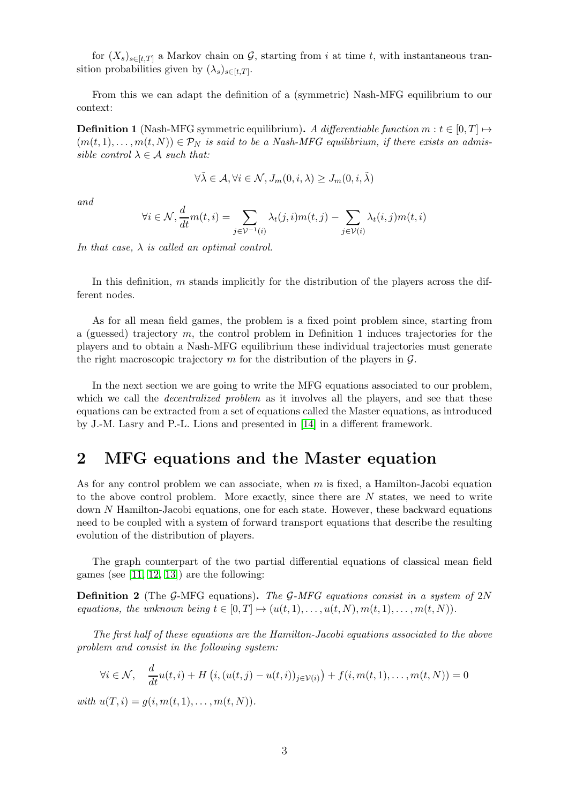for  $(X_s)_{s\in[t,T]}$  a Markov chain on G, starting from i at time t, with instantaneous transition probabilities given by  $(\lambda_s)_{s \in [t,T]}$ .

From this we can adapt the definition of a (symmetric) Nash-MFG equilibrium to our context:

**Definition 1** (Nash-MFG symmetric equilibrium). A differentiable function  $m : t \in [0, T] \rightarrow$  $(m(t, 1), \ldots, m(t, N)) \in \mathcal{P}_N$  is said to be a Nash-MFG equilibrium, if there exists an admissible control  $\lambda \in \mathcal{A}$  such that:

$$
\forall \tilde{\lambda} \in \mathcal{A}, \forall i \in \mathcal{N}, J_m(0, i, \lambda) \geq J_m(0, i, \tilde{\lambda})
$$

and

$$
\forall i \in \mathcal{N}, \frac{d}{dt}m(t, i) = \sum_{j \in \mathcal{V}^{-1}(i)} \lambda_t(j, i)m(t, j) - \sum_{j \in \mathcal{V}(i)} \lambda_t(i, j)m(t, i)
$$

In that case,  $\lambda$  is called an optimal control.

In this definition,  $m$  stands implicitly for the distribution of the players across the different nodes.

As for all mean field games, the problem is a fixed point problem since, starting from a (guessed) trajectory m, the control problem in Definition 1 induces trajectories for the players and to obtain a Nash-MFG equilibrium these individual trajectories must generate the right macroscopic trajectory m for the distribution of the players in  $\mathcal{G}$ .

In the next section we are going to write the MFG equations associated to our problem, which we call the *decentralized problem* as it involves all the players, and see that these equations can be extracted from a set of equations called the Master equations, as introduced by J.-M. Lasry and P.-L. Lions and presented in [\[14\]](#page-11-3) in a different framework.

### 2 MFG equations and the Master equation

As for any control problem we can associate, when  $m$  is fixed, a Hamilton-Jacobi equation to the above control problem. More exactly, since there are N states, we need to write down N Hamilton-Jacobi equations, one for each state. However, these backward equations need to be coupled with a system of forward transport equations that describe the resulting evolution of the distribution of players.

The graph counterpart of the two partial differential equations of classical mean field games (see  $[11, 12, 13]$  $[11, 12, 13]$  $[11, 12, 13]$ ) are the following:

**Definition 2** (The G-MFG equations). The G-MFG equations consist in a system of 2N equations, the unknown being  $t \in [0, T] \mapsto (u(t, 1), \dots, u(t, N), m(t, 1), \dots, m(t, N)).$ 

The first half of these equations are the Hamilton-Jacobi equations associated to the above problem and consist in the following system:

$$
\forall i \in \mathcal{N}, \quad \frac{d}{dt}u(t,i) + H\left(i, (u(t,j) - u(t,i))_{j \in \mathcal{V}(i)}\right) + f(i, m(t,1), \dots, m(t,N)) = 0
$$

with  $u(T, i) = g(i, m(t, 1), \ldots, m(t, N)).$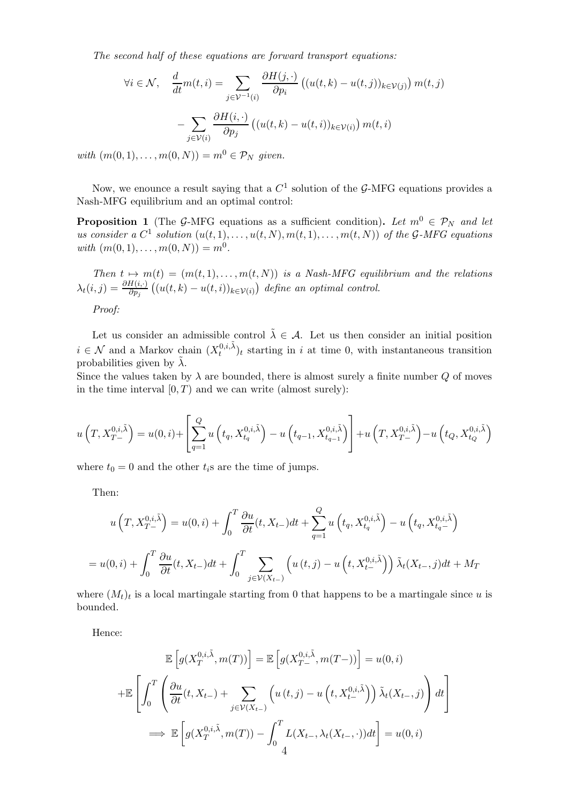The second half of these equations are forward transport equations:

$$
\forall i \in \mathcal{N}, \quad \frac{d}{dt} m(t, i) = \sum_{j \in \mathcal{V}^{-1}(i)} \frac{\partial H(j, \cdot)}{\partial p_i} \left( (u(t, k) - u(t, j))_{k \in \mathcal{V}(j)} \right) m(t, j)
$$

$$
- \sum_{j \in \mathcal{V}(i)} \frac{\partial H(i, \cdot)}{\partial p_j} \left( (u(t, k) - u(t, i))_{k \in \mathcal{V}(i)} \right) m(t, i)
$$

with  $(m(0, 1), \ldots, m(0, N)) = m^0 \in \mathcal{P}_N$  given.

Now, we enounce a result saying that a  $C^1$  solution of the G-MFG equations provides a Nash-MFG equilibrium and an optimal control:

**Proposition 1** (The G-MFG equations as a sufficient condition). Let  $m^0 \in \mathcal{P}_N$  and let us consider a  $C^1$  solution  $(u(t,1),\ldots,u(t,N),m(t,1),\ldots,m(t,N))$  of the G-MFG equations with  $(m(0, 1), \ldots, m(0, N)) = m^0$ .

Then  $t \mapsto m(t) = (m(t, 1), \ldots, m(t, N))$  is a Nash-MFG equilibrium and the relations  $\lambda_t(i,j) = \frac{\partial H(i, \cdot)}{\partial p_j} ((u(t, k) - u(t, i))_{k \in \mathcal{V}(i)})$  define an optimal control. Proof:

Let us consider an admissible control  $\tilde{\lambda} \in \mathcal{A}$ . Let us then consider an initial position  $i \in \mathcal{N}$  and a Markov chain  $(X_t^{0,i,\tilde{\lambda}})_t$  starting in i at time 0, with instantaneous transition probabilities given by  $\tilde{\lambda}$ .

Since the values taken by  $\lambda$  are bounded, there is almost surely a finite number  $Q$  of moves in the time interval  $[0, T)$  and we can write (almost surely):

$$
u\left(T, X_{T-}^{0,i,\tilde{\lambda}}\right) = u(0,i) + \left[\sum_{q=1}^{Q} u\left(t_q, X_{t_q}^{0,i,\tilde{\lambda}}\right) - u\left(t_{q-1}, X_{t_{q-1}}^{0,i,\tilde{\lambda}}\right)\right] + u\left(T, X_{T-}^{0,i,\tilde{\lambda}}\right) - u\left(t_Q, X_{t_Q}^{0,i,\tilde{\lambda}}\right)
$$

where  $t_0 = 0$  and the other  $t_i$ s are the time of jumps.

Then:

$$
u\left(T, X_{T-}^{0,i,\tilde{\lambda}}\right) = u(0,i) + \int_0^T \frac{\partial u}{\partial t}(t, X_{t-})dt + \sum_{q=1}^Q u\left(t_q, X_{t_q}^{0,i,\tilde{\lambda}}\right) - u\left(t_q, X_{t_q-}^{0,i,\tilde{\lambda}}\right)
$$

$$
= u(0,i) + \int_0^T \frac{\partial u}{\partial t}(t, X_{t-})dt + \int_0^T \sum_{j \in \mathcal{V}(X_{t-})} \left(u\left(t,j\right) - u\left(t, X_{t-}^{0,i,\tilde{\lambda}}\right)\right) \tilde{\lambda}_t(X_{t-},j)dt + M_T
$$

where  $(M_t)_t$  is a local martingale starting from 0 that happens to be a martingale since u is bounded.

Hence:

$$
\mathbb{E}\left[g(X_T^{0,i,\tilde{\lambda}},m(T))\right] = \mathbb{E}\left[g(X_{T}^{0,i,\tilde{\lambda}},m(T-))\right] = u(0,i)
$$

$$
+\mathbb{E}\left[\int_0^T \left(\frac{\partial u}{\partial t}(t,X_{t-}) + \sum_{j\in\mathcal{V}(X_{t-})} \left(u(t,j) - u\left(t,X_{t-}^{0,i,\tilde{\lambda}}\right)\right)\tilde{\lambda}_t(X_{t-},j)\right)dt\right]
$$

$$
\implies \mathbb{E}\left[g(X_T^{0,i,\tilde{\lambda}},m(T)) - \int_0^T L(X_{t-},\lambda_t(X_{t-},\cdot))dt\right] = u(0,i)
$$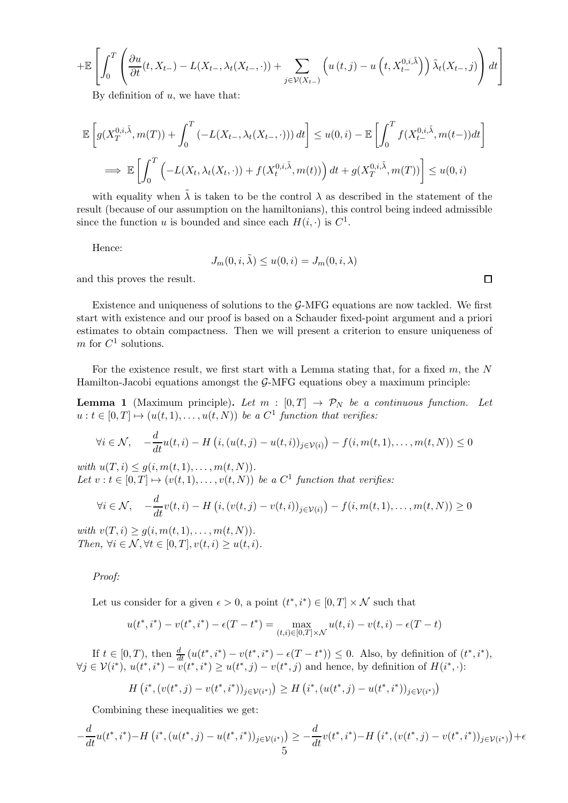$$
+ \mathbb{E}\left[\int_0^T \left(\frac{\partial u}{\partial t}(t, X_{t-}) - L(X_{t-}, \lambda_t(X_{t-}, \cdot)) + \sum_{j \in \mathcal{V}(X_{t-})} \left(u(t,j) - u\left(t, X_{t-}^{0,i,\tilde{\lambda}}\right)\right) \tilde{\lambda}_t(X_{t-}, j)\right) dt\right]
$$

By definition of  $u$ , we have that:

$$
\mathbb{E}\left[g(X_T^{0,i,\tilde{\lambda}},m(T)) + \int_0^T \left(-L(X_{t-},\lambda_t(X_{t-},\cdot))\right)dt\right] \le u(0,i) - \mathbb{E}\left[\int_0^T f(X_{t-}^{0,i,\tilde{\lambda}},m(t-))dt\right]
$$
  

$$
\implies \mathbb{E}\left[\int_0^T \left(-L(X_t,\lambda_t(X_{t},\cdot)) + f(X_t^{0,i,\tilde{\lambda}},m(t))\right)dt + g(X_T^{0,i,\tilde{\lambda}},m(T))\right] \le u(0,i)
$$

with equality when  $\tilde{\lambda}$  is taken to be the control  $\lambda$  as described in the statement of the result (because of our assumption on the hamiltonians), this control being indeed admissible since the function u is bounded and since each  $H(i, \cdot)$  is  $C^1$ .

Hence:

$$
J_m(0, i, \tilde{\lambda}) \le u(0, i) = J_m(0, i, \lambda)
$$

and this proves the result.

Existence and uniqueness of solutions to the  $G-MFG$  equations are now tackled. We first start with existence and our proof is based on a Schauder fixed-point argument and a priori estimates to obtain compactness. Then we will present a criterion to ensure uniqueness of m for  $C^1$  solutions.

For the existence result, we first start with a Lemma stating that, for a fixed  $m$ , the  $N$ Hamilton-Jacobi equations amongst the G-MFG equations obey a maximum principle:

**Lemma 1** (Maximum principle). Let  $m : [0, T] \rightarrow \mathcal{P}_N$  be a continuous function. Let  $u: t \in [0,T] \mapsto (u(t,1), \ldots, u(t,N))$  be a  $C^1$  function that verifies:

$$
\forall i \in \mathcal{N}, \quad -\frac{d}{dt}u(t,i) - H\left(i, (u(t,j) - u(t,i))_{j \in \mathcal{V}(i)}\right) - f(i, m(t,1), \dots, m(t,N)) \le 0
$$

with  $u(T, i) \leq g(i, m(t, 1), \ldots, m(t, N)).$ Let  $v : t \in [0, T] \mapsto (v(t, 1), \dots, v(t, N))$  be a  $C^1$  function that verifies:

$$
\forall i \in \mathcal{N}, \quad -\frac{d}{dt}v(t,i) - H\left(i, (v(t,j) - v(t,i))_{j \in \mathcal{V}(i)}\right) - f(i, m(t,1), \dots, m(t,N)) \ge 0
$$

with  $v(T, i) \geq q(i, m(t, 1), \ldots, m(t, N)).$ Then,  $\forall i \in \mathcal{N}, \forall t \in [0, T], v(t, i) \geq u(t, i).$ 

Proof:

Let us consider for a given  $\epsilon > 0$ , a point  $(t^*, i^*) \in [0, T] \times \mathcal{N}$  such that

$$
u(t^*, i^*) - v(t^*, i^*) - \epsilon(T - t^*) = \max_{(t,i) \in [0,T] \times \mathcal{N}} u(t,i) - v(t,i) - \epsilon(T - t)
$$

If  $t \in [0, T)$ , then  $\frac{d}{dt} (u(t^*, i^*) - v(t^*, i^*) - \epsilon (T - t^*)) \leq 0$ . Also, by definition of  $(t^*, i^*)$ ,  $\forall j \in \mathcal{V}(i^*), u(t^*, i^*) - v(t^*, i^*) \geq u(t^*, j) - v(t^*, j)$  and hence, by definition of  $H(i^*, \cdot)$ :

$$
H\left(i^*,\left(v(t^*,j)-v(t^*,i^*)\right)_{j\in\mathcal{V}(i^*)}\right)\geq H\left(i^*,\left(u(t^*,j)-u(t^*,i^*)\right)_{j\in\mathcal{V}(i^*)}\right)
$$

Combining these inequalities we get:

$$
-\frac{d}{dt}u(t^*,i^*) - H\left(i^*,(u(t^*,j) - u(t^*,i^*))_{j \in \mathcal{V}(i^*)}\right) \ge -\frac{d}{dt}v(t^*,i^*) - H\left(i^*,(v(t^*,j) - v(t^*,i^*))_{j \in \mathcal{V}(i^*)}\right) + \epsilon
$$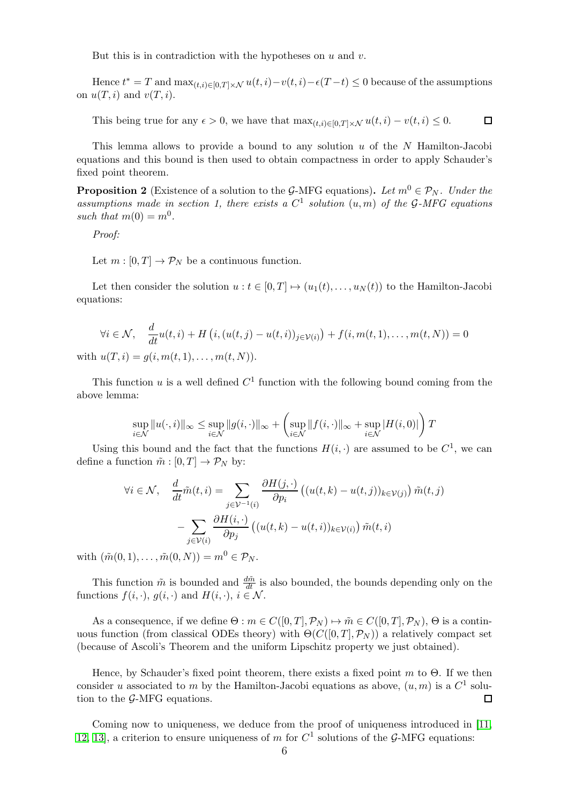But this is in contradiction with the hypotheses on  $u$  and  $v$ .

Hence  $t^* = T$  and  $\max_{(t,i)\in[0,T]\times\mathcal{N}} u(t,i) - v(t,i) - \epsilon(T-t) \leq 0$  because of the assumptions on  $u(T, i)$  and  $v(T, i)$ .

This being true for any  $\epsilon > 0$ , we have that  $\max_{(t,i) \in [0,T] \times \mathcal{N}} u(t,i) - v(t,i) \leq 0$ .  $\Box$ 

This lemma allows to provide a bound to any solution  $u$  of the N Hamilton-Jacobi equations and this bound is then used to obtain compactness in order to apply Schauder's fixed point theorem.

**Proposition 2** (Existence of a solution to the G-MFG equations). Let  $m^0 \in \mathcal{P}_N$ . Under the assumptions made in section 1, there exists a  $C^1$  solution  $(u,m)$  of the G-MFG equations such that  $m(0) = m^0$ .

Proof:

Let  $m : [0, T] \to \mathcal{P}_N$  be a continuous function.

Let then consider the solution  $u : t \in [0, T] \mapsto (u_1(t), \ldots, u_N(t))$  to the Hamilton-Jacobi equations:

$$
\forall i \in \mathcal{N}, \quad \frac{d}{dt}u(t,i) + H\left(i, (u(t,j) - u(t,i))_{j \in \mathcal{V}(i)}\right) + f(i, m(t,1), \dots, m(t,N)) = 0
$$
  
with  $u(T, i) = g(i, m(t,1), \dots, m(t,N)).$ 

This function  $u$  is a well defined  $C<sup>1</sup>$  function with the following bound coming from the above lemma:

$$
\sup_{i \in \mathcal{N}} \|u(\cdot,i)\|_{\infty} \le \sup_{i \in \mathcal{N}} \|g(i,\cdot)\|_{\infty} + \left(\sup_{i \in \mathcal{N}} \|f(i,\cdot)\|_{\infty} + \sup_{i \in \mathcal{N}} |H(i,0)|\right)T
$$

Using this bound and the fact that the functions  $H(i, \cdot)$  are assumed to be  $C^1$ , we can define a function  $\tilde{m} : [0, T] \to \mathcal{P}_N$  by:

$$
\forall i \in \mathcal{N}, \quad \frac{d}{dt}\tilde{m}(t,i) = \sum_{j \in \mathcal{V}^{-1}(i)} \frac{\partial H(j, \cdot)}{\partial p_i} \left( (u(t,k) - u(t,j))_{k \in \mathcal{V}(j)} \right) \tilde{m}(t,j)
$$

$$
- \sum_{j \in \mathcal{V}(i)} \frac{\partial H(i, \cdot)}{\partial p_j} \left( (u(t,k) - u(t,i))_{k \in \mathcal{V}(i)} \right) \tilde{m}(t,i)
$$

with  $({\tilde{m}}(0, 1), \ldots, {\tilde{m}}(0, N)) = m^0 \in \mathcal{P}_N$ .

This function  $\tilde{m}$  is bounded and  $\frac{d\tilde{m}}{dt}$  is also bounded, the bounds depending only on the functions  $f(i, \cdot), g(i, \cdot)$  and  $H(i, \cdot), i \in \mathcal{N}$ .

As a consequence, if we define  $\Theta : m \in C([0,T], \mathcal{P}_N) \mapsto \tilde{m} \in C([0,T], \mathcal{P}_N)$ ,  $\Theta$  is a continuous function (from classical ODEs theory) with  $\Theta(C([0,T], \mathcal{P}_N))$  a relatively compact set (because of Ascoli's Theorem and the uniform Lipschitz property we just obtained).

Hence, by Schauder's fixed point theorem, there exists a fixed point  $m$  to  $\Theta$ . If we then consider u associated to m by the Hamilton-Jacobi equations as above,  $(u, m)$  is a  $C^1$  solution to the G-MFG equations.  $\Box$ 

Coming now to uniqueness, we deduce from the proof of uniqueness introduced in [\[11,](#page-11-0) [12,](#page-11-1) [13\]](#page-11-2), a criterion to ensure uniqueness of m for  $C<sup>1</sup>$  solutions of the G-MFG equations: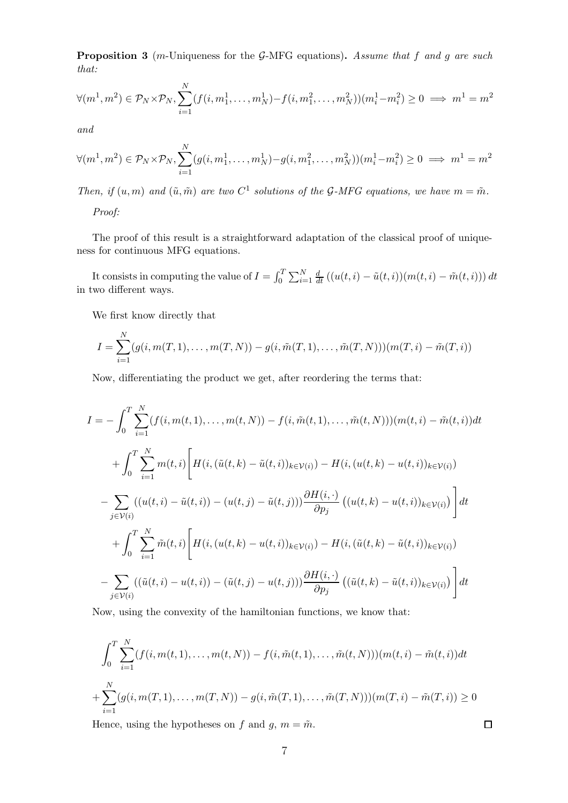**Proposition 3** (m-Uniqueness for the G-MFG equations). Assume that f and g are such that:

$$
\forall (m^1, m^2) \in \mathcal{P}_N \times \mathcal{P}_N, \sum_{i=1}^N (f(i, m_1^1, \dots, m_N^1) - f(i, m_1^2, \dots, m_N^2))(m_i^1 - m_i^2) \ge 0 \implies m^1 = m^2
$$

and

$$
\forall (m^1, m^2) \in \mathcal{P}_N \times \mathcal{P}_N, \sum_{i=1}^N (g(i, m_1^1, \dots, m_N^1) - g(i, m_1^2, \dots, m_N^2))(m_i^1 - m_i^2) \ge 0 \implies m^1 = m^2
$$

Then, if  $(u, m)$  and  $(\tilde{u}, \tilde{m})$  are two  $C^1$  solutions of the G-MFG equations, we have  $m = \tilde{m}$ .

Proof:

The proof of this result is a straightforward adaptation of the classical proof of uniqueness for continuous MFG equations.

It consists in computing the value of  $I = \int_0^T \sum_{i=1}^N \frac{d}{dt} ((u(t, i) - \tilde{u}(t, i))(m(t, i) - \tilde{m}(t, i))) dt$ in two different ways.

We first know directly that

$$
I = \sum_{i=1}^{N} (g(i, m(T, 1), \dots, m(T, N)) - g(i, \tilde{m}(T, 1), \dots, \tilde{m}(T, N)))(m(T, i) - \tilde{m}(T, i))
$$

Now, differentiating the product we get, after reordering the terms that:

$$
I = -\int_{0}^{T} \sum_{i=1}^{N} (f(i, m(t, 1), \dots, m(t, N)) - f(i, \tilde{m}(t, 1), \dots, \tilde{m}(t, N)))(m(t, i) - \tilde{m}(t, i))dt
$$
  
+ 
$$
\int_{0}^{T} \sum_{i=1}^{N} m(t, i) \left[ H(i, (\tilde{u}(t, k) - \tilde{u}(t, i))_{k \in \mathcal{V}(i)}) - H(i, (u(t, k) - u(t, i))_{k \in \mathcal{V}(i)}) - \sum_{j \in \mathcal{V}(i)} ((u(t, i) - \tilde{u}(t, i)) - (u(t, j) - \tilde{u}(t, j))) \frac{\partial H(i, \cdot)}{\partial p_j} ((u(t, k) - u(t, i))_{k \in \mathcal{V}(i)}) \right] dt
$$
  
+ 
$$
\int_{0}^{T} \sum_{i=1}^{N} \tilde{m}(t, i) \left[ H(i, (u(t, k) - u(t, i))_{k \in \mathcal{V}(i)}) - H(i, (\tilde{u}(t, k) - \tilde{u}(t, i))_{k \in \mathcal{V}(i)}) - \sum_{j \in \mathcal{V}(i)} ((\tilde{u}(t, i) - u(t, i)) - (\tilde{u}(t, j) - u(t, j))) \frac{\partial H(i, \cdot)}{\partial p_j} ((\tilde{u}(t, k) - \tilde{u}(t, i))_{k \in \mathcal{V}(i)}) \right] dt
$$

Now, using the convexity of the hamiltonian functions, we know that:

$$
\int_0^T \sum_{i=1}^N (f(i, m(t, 1), \dots, m(t, N)) - f(i, \tilde{m}(t, 1), \dots, \tilde{m}(t, N)))(m(t, i) - \tilde{m}(t, i))dt
$$
  
+ 
$$
\sum_{i=1}^N (g(i, m(T, 1), \dots, m(T, N)) - g(i, \tilde{m}(T, 1), \dots, \tilde{m}(T, N)))(m(T, i) - \tilde{m}(T, i)) \ge 0
$$

Hence, using the hypotheses on f and g,  $m = \tilde{m}$ .

 $\Box$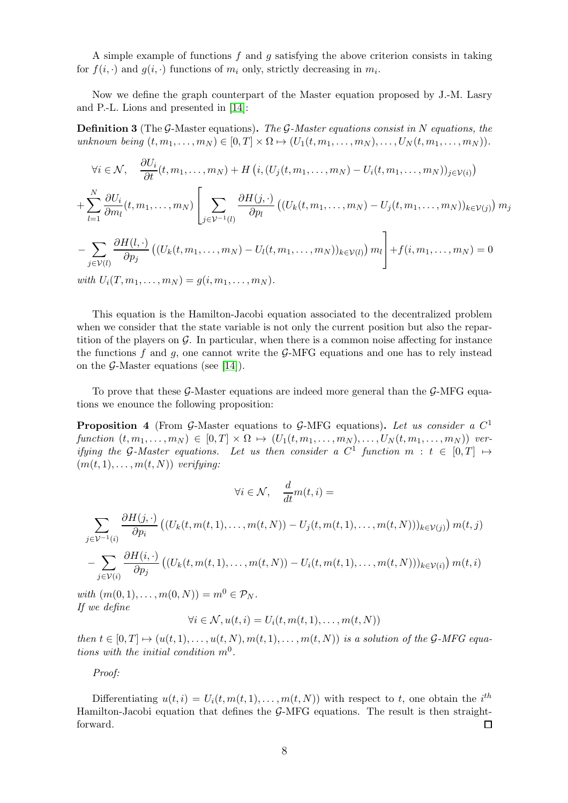A simple example of functions  $f$  and  $g$  satisfying the above criterion consists in taking for  $f(i, \cdot)$  and  $g(i, \cdot)$  functions of  $m_i$  only, strictly decreasing in  $m_i$ .

Now we define the graph counterpart of the Master equation proposed by J.-M. Lasry and P.-L. Lions and presented in [\[14\]](#page-11-3):

**Definition 3** (The G-Master equations). The G-Master equations consist in N equations, the unknown being  $(t, m_1, \ldots, m_N) \in [0, T] \times \Omega \mapsto (U_1(t, m_1, \ldots, m_N), \ldots, U_N(t, m_1, \ldots, m_N)).$ 

$$
\forall i \in \mathcal{N}, \quad \frac{\partial U_i}{\partial t}(t, m_1, \dots, m_N) + H\left(i, (U_j(t, m_1, \dots, m_N) - U_i(t, m_1, \dots, m_N))_{j \in \mathcal{V}(i)}\right)
$$
  
+ 
$$
\sum_{l=1}^N \frac{\partial U_i}{\partial m_l}(t, m_1, \dots, m_N) \left[ \sum_{j \in \mathcal{V}^{-1}(l)} \frac{\partial H(j, \cdot)}{\partial p_l} \left( (U_k(t, m_1, \dots, m_N) - U_j(t, m_1, \dots, m_N))_{k \in \mathcal{V}(j)} \right) m_j \right]
$$
  
- 
$$
\sum_{j \in \mathcal{V}(l)} \frac{\partial H(l, \cdot)}{\partial p_j} \left( (U_k(t, m_1, \dots, m_N) - U_l(t, m_1, \dots, m_N))_{k \in \mathcal{V}(l)} \right) m_l \right] + f(i, m_1, \dots, m_N) = 0
$$
  
with  $U_i(T, m_1, \dots, m_N) = g(i, m_1, \dots, m_N).$ 

This equation is the Hamilton-Jacobi equation associated to the decentralized problem when we consider that the state variable is not only the current position but also the repartition of the players on  $\mathcal{G}$ . In particular, when there is a common noise affecting for instance the functions f and g, one cannot write the  $\mathcal{G}-MFG$  equations and one has to rely instead on the  $\mathcal{G}\text{-Master}$  equations (see [\[14\]](#page-11-3)).

To prove that these  $\mathcal{G}\text{-Master}$  equations are indeed more general than the  $\mathcal{G}\text{-MFG}$  equations we enounce the following proposition:

**Proposition 4** (From G-Master equations to G-MFG equations). Let us consider a  $C^1$ function  $(t, m_1, \ldots, m_N) \in [0, T] \times \Omega \mapsto (U_1(t, m_1, \ldots, m_N), \ldots, U_N(t, m_1, \ldots, m_N))$  verifying the G-Master equations. Let us then consider a  $C^1$  function  $m : t \in [0,T] \mapsto$  $(m(t, 1), \ldots, m(t, N))$  verifying:

$$
\forall i \in \mathcal{N}, \quad \frac{d}{dt} m(t,i) =
$$

$$
\sum_{j \in \mathcal{V}^{-1}(i)} \frac{\partial H(j, \cdot)}{\partial p_i} \left( (U_k(t, m(t, 1), \dots, m(t, N)) - U_j(t, m(t, 1), \dots, m(t, N)) \right)_{k \in \mathcal{V}(j)} m(t, j)
$$

$$
- \sum_{j \in \mathcal{V}(i)} \frac{\partial H(i, \cdot)}{\partial p_j} \left( (U_k(t, m(t, 1), \dots, m(t, N)) - U_i(t, m(t, 1), \dots, m(t, N)) \right)_{k \in \mathcal{V}(i)} m(t, i)
$$

with  $(m(0, 1), \ldots, m(0, N)) = m^0 \in \mathcal{P}_N$ . If we define

$$
\forall i \in \mathcal{N}, u(t, i) = U_i(t, m(t, 1), \dots, m(t, N))
$$

then  $t \in [0, T] \mapsto (u(t, 1), \dots, u(t, N), m(t, 1), \dots, m(t, N))$  is a solution of the G-MFG equations with the initial condition  $m^0$ .

Proof:

Differentiating  $u(t, i) = U_i(t, m(t, 1), \dots, m(t, N))$  with respect to t, one obtain the i<sup>th</sup> Hamilton-Jacobi equation that defines the  $\mathcal{G}\text{-MFG}$  equations. The result is then straightforward.  $\Box$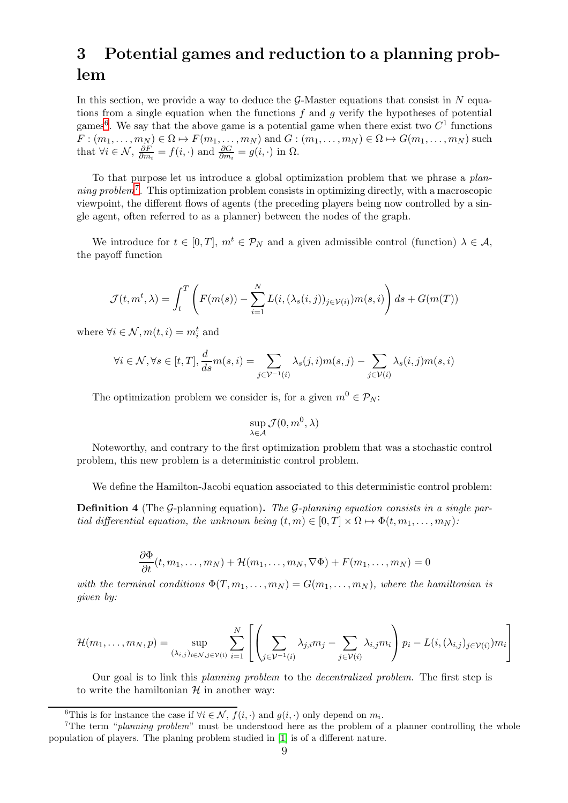## 3 Potential games and reduction to a planning problem

In this section, we provide a way to deduce the  $\mathcal{G}\text{-Master}$  equations that consist in N equations from a single equation when the functions  $f$  and  $g$  verify the hypotheses of potential games<sup>6</sup>. We say that the above game is a potential game when there exist two  $C<sup>1</sup>$  functions  $F: (m_1, \ldots, m_N) \in \Omega \mapsto F(m_1, \ldots, m_N)$  and  $G: (m_1, \ldots, m_N) \in \Omega \mapsto G(m_1, \ldots, m_N)$  such that  $\forall i \in \mathcal{N}, \frac{\partial F}{\partial m}$  $\frac{\partial F}{\partial m_i} = f(i, \cdot)$  and  $\frac{\partial G}{\partial m_i} = g(i, \cdot)$  in  $\Omega$ .

To that purpose let us introduce a global optimization problem that we phrase a planning problem<sup>7</sup>. This optimization problem consists in optimizing directly, with a macroscopic viewpoint, the different flows of agents (the preceding players being now controlled by a single agent, often referred to as a planner) between the nodes of the graph.

We introduce for  $t \in [0, T]$ ,  $m^t \in \mathcal{P}_N$  and a given admissible control (function)  $\lambda \in \mathcal{A}$ , the payoff function

$$
\mathcal{J}(t, m^t, \lambda) = \int_t^T \left( F(m(s)) - \sum_{i=1}^N L(i, (\lambda_s(i, j))_{j \in \mathcal{V}(i)}) m(s, i) \right) ds + G(m(T))
$$

where  $\forall i \in \mathcal{N}, m(t, i) = m_i^t$  and

$$
\forall i \in \mathcal{N}, \forall s \in [t, T], \frac{d}{ds}m(s, i) = \sum_{j \in \mathcal{V}^{-1}(i)} \lambda_s(j, i)m(s, j) - \sum_{j \in \mathcal{V}(i)} \lambda_s(i, j)m(s, i)
$$

The optimization problem we consider is, for a given  $m^0 \in \mathcal{P}_N$ :

$$
\sup_{\lambda\in\mathcal{A}}\mathcal{J}(0,m^0,\lambda)
$$

Noteworthy, and contrary to the first optimization problem that was a stochastic control problem, this new problem is a deterministic control problem.

We define the Hamilton-Jacobi equation associated to this deterministic control problem:

**Definition 4** (The G-planning equation). The G-planning equation consists in a single partial differential equation, the unknown being  $(t, m) \in [0, T] \times \Omega \mapsto \Phi(t, m_1, \ldots, m_N)$ :

$$
\frac{\partial \Phi}{\partial t}(t, m_1, \dots, m_N) + \mathcal{H}(m_1, \dots, m_N, \nabla \Phi) + F(m_1, \dots, m_N) = 0
$$

with the terminal conditions  $\Phi(T, m_1, \ldots, m_N) = G(m_1, \ldots, m_N)$ , where the hamiltonian is given by:

$$
\mathcal{H}(m_1,\ldots,m_N,p) = \sup_{(\lambda_{i,j})_{i \in \mathcal{N}, j \in \mathcal{V}(i)}} \sum_{i=1}^N \left[ \left( \sum_{j \in \mathcal{V}^{-1}(i)} \lambda_{j,i} m_j - \sum_{j \in \mathcal{V}(i)} \lambda_{i,j} m_i \right) p_i - L(i, (\lambda_{i,j})_{j \in \mathcal{V}(i)}) m_i \right]
$$

Our goal is to link this planning problem to the decentralized problem. The first step is to write the hamiltonian  $H$  in another way:

<sup>&</sup>lt;sup>6</sup>This is for instance the case if  $\forall i \in \mathcal{N}, f(i, \cdot)$  and  $g(i, \cdot)$  only depend on  $m_i$ .

<sup>&</sup>lt;sup>7</sup>The term "planning problem" must be understood here as the problem of a planner controlling the whole population of players. The planing problem studied in [\[1\]](#page-11-7) is of a different nature.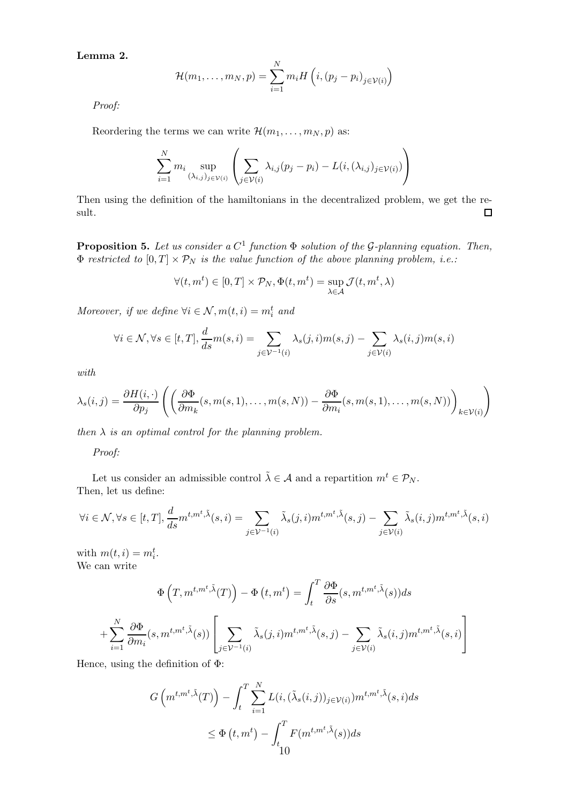Lemma 2.

$$
\mathcal{H}(m_1,\ldots,m_N,p)=\sum_{i=1}^Nm_iH\left(i,(p_j-p_i)_{j\in\mathcal{V}(i)}\right)
$$

Proof:

Reordering the terms we can write  $\mathcal{H}(m_1, \ldots, m_N, p)$  as:

$$
\sum_{i=1}^{N} m_i \sup_{(\lambda_{i,j})_{j \in \mathcal{V}(i)}} \left( \sum_{j \in \mathcal{V}(i)} \lambda_{i,j} (p_j - p_i) - L(i, (\lambda_{i,j})_{j \in \mathcal{V}(i)}) \right)
$$

Then using the definition of the hamiltonians in the decentralized problem, we get the result.  $\Box$ 

**Proposition 5.** Let us consider a  $C^1$  function  $\Phi$  solution of the G-planning equation. Then,  $\Phi$  restricted to  $[0, T] \times \mathcal{P}_N$  is the value function of the above planning problem, i.e.:

$$
\forall (t, m^t) \in [0, T] \times \mathcal{P}_N, \Phi(t, m^t) = \sup_{\lambda \in \mathcal{A}} \mathcal{J}(t, m^t, \lambda)
$$

Moreover, if we define  $\forall i \in \mathcal{N}, m(t, i) = m_i^t$  and

$$
\forall i \in \mathcal{N}, \forall s \in [t, T], \frac{d}{ds} m(s, i) = \sum_{j \in \mathcal{V}^{-1}(i)} \lambda_s(j, i) m(s, j) - \sum_{j \in \mathcal{V}(i)} \lambda_s(i, j) m(s, i)
$$

with

$$
\lambda_s(i,j) = \frac{\partial H(i, \cdot)}{\partial p_j} \left( \left( \frac{\partial \Phi}{\partial m_k}(s, m(s,1), \dots, m(s,N)) - \frac{\partial \Phi}{\partial m_i}(s, m(s,1), \dots, m(s,N)) \right)_{k \in \mathcal{V}(i)} \right)
$$

then  $\lambda$  is an optimal control for the planning problem.

Proof:

Let us consider an admissible control  $\tilde{\lambda} \in \mathcal{A}$  and a repartition  $m^t \in \mathcal{P}_N$ . Then, let us define:

$$
\forall i \in \mathcal{N}, \forall s \in [t, T], \frac{d}{ds} m^{t, m^t, \tilde{\lambda}}(s, i) = \sum_{j \in \mathcal{V}^{-1}(i)} \tilde{\lambda}_s(j, i) m^{t, m^t, \tilde{\lambda}}(s, j) - \sum_{j \in \mathcal{V}(i)} \tilde{\lambda}_s(i, j) m^{t, m^t, \tilde{\lambda}}(s, i)
$$

with  $m(t, i) = m_i^t$ . We can write

 $\overline{a}$ 

$$
\Phi\left(T, m^{t,m^t, \tilde{\lambda}}(T)\right) - \Phi\left(t, m^t\right) = \int_t^T \frac{\partial \Phi}{\partial s}(s, m^{t,m^t, \tilde{\lambda}}(s))ds
$$

$$
+ \sum_{i=1}^N \frac{\partial \Phi}{\partial m_i}(s, m^{t,m^t, \tilde{\lambda}}(s)) \left[ \sum_{j \in \mathcal{V}^{-1}(i)} \tilde{\lambda}_s(j, i) m^{t,m^t, \tilde{\lambda}}(s, j) - \sum_{j \in \mathcal{V}(i)} \tilde{\lambda}_s(i, j) m^{t,m^t, \tilde{\lambda}}(s, i) \right]
$$

Hence, using the definition of  $\Phi$ :

$$
G\left(m^{t,m^t,\tilde{\lambda}}(T)\right) - \int_t^T \sum_{i=1}^N L(i,(\tilde{\lambda}_s(i,j))_{j \in \mathcal{V}(i)}) m^{t,m^t,\tilde{\lambda}}(s,i)ds
$$
  

$$
\leq \Phi\left(t,m^t\right) - \int_{t}^T F(m^{t,m^t,\tilde{\lambda}}(s))ds
$$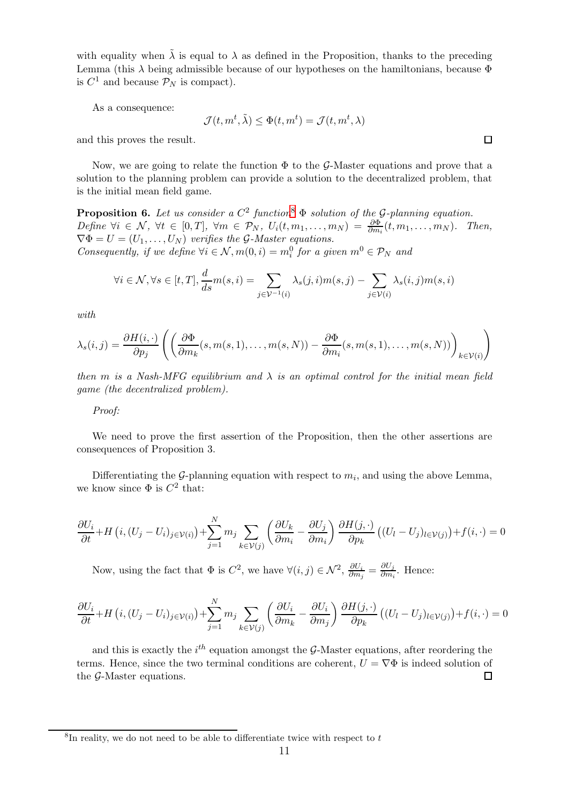with equality when  $\tilde{\lambda}$  is equal to  $\lambda$  as defined in the Proposition, thanks to the preceding Lemma (this  $\lambda$  being admissible because of our hypotheses on the hamiltonians, because  $\Phi$ is  $C^1$  and because  $\mathcal{P}_N$  is compact).

As a consequence:

$$
\mathcal{J}(t, m^t, \tilde{\lambda}) \le \Phi(t, m^t) = \mathcal{J}(t, m^t, \lambda)
$$

and this proves the result.

Now, we are going to relate the function  $\Phi$  to the G-Master equations and prove that a solution to the planning problem can provide a solution to the decentralized problem, that is the initial mean field game.

**Proposition 6.** Let us consider a  $C^2$  function<sup>8</sup>  $\Phi$  solution of the G-planning equation. Define  $\forall i \in \mathcal{N}, \ \forall t \in [0,T], \ \forall m \in \mathcal{P}_N, \ U_i(t,m_1,\ldots,m_N) = \frac{\partial \Phi}{\partial m_i}(t,m_1,\ldots,m_N).$  Then,  $\nabla \Phi = U = (U_1, \dots, U_N)$  verifies the G-Master equations. Consequently, if we define  $\forall i \in \mathcal{N}, m(0, i) = m_i^0$  for a given  $m^0 \in \mathcal{P}_N$  and

$$
\forall i \in \mathcal{N}, \forall s \in [t, T], \frac{d}{ds} m(s, i) = \sum_{j \in \mathcal{V}^{-1}(i)} \lambda_s(j, i) m(s, j) - \sum_{j \in \mathcal{V}(i)} \lambda_s(i, j) m(s, i)
$$

with

$$
\lambda_s(i,j) = \frac{\partial H(i, \cdot)}{\partial p_j} \left( \left( \frac{\partial \Phi}{\partial m_k}(s, m(s,1), \dots, m(s,N)) - \frac{\partial \Phi}{\partial m_i}(s, m(s,1), \dots, m(s,N)) \right)_{k \in \mathcal{V}(i)} \right)
$$

then m is a Nash-MFG equilibrium and  $\lambda$  is an optimal control for the initial mean field game (the decentralized problem).

#### Proof:

We need to prove the first assertion of the Proposition, then the other assertions are consequences of Proposition 3.

Differentiating the  $\mathcal{G}$ -planning equation with respect to  $m_i$ , and using the above Lemma, we know since  $\Phi$  is  $C^2$  that:

$$
\frac{\partial U_i}{\partial t} + H\left(i, (U_j - U_i)_{j \in \mathcal{V}(i)}\right) + \sum_{j=1}^N m_j \sum_{k \in \mathcal{V}(j)} \left(\frac{\partial U_k}{\partial m_i} - \frac{\partial U_j}{\partial m_i}\right) \frac{\partial H(j, \cdot)}{\partial p_k} \left((U_l - U_j)_{l \in \mathcal{V}(j)}\right) + f(i, \cdot) = 0
$$

Now, using the fact that  $\Phi$  is  $C^2$ , we have  $\forall (i, j) \in \mathcal{N}^2$ ,  $\frac{\partial U_i}{\partial m_i}$  $\frac{\partial U_i}{\partial m_j} = \frac{\partial U_j}{\partial m_i}$  $\frac{\partial \psi_j}{\partial m_i}$ . Hence:

$$
\frac{\partial U_i}{\partial t} + H\left(i, (U_j - U_i)_{j \in \mathcal{V}(i)}\right) + \sum_{j=1}^N m_j \sum_{k \in \mathcal{V}(j)} \left(\frac{\partial U_i}{\partial m_k} - \frac{\partial U_i}{\partial m_j}\right) \frac{\partial H(j, \cdot)}{\partial p_k} \left((U_l - U_j)_{l \in \mathcal{V}(j)}\right) + f(i, \cdot) = 0
$$

and this is exactly the  $i^{th}$  equation amongst the G-Master equations, after reordering the terms. Hence, since the two terminal conditions are coherent,  $U = \nabla \Phi$  is indeed solution of the G-Master equations.  $\Box$ 

 $\square$ 

 ${}^{8}$ In reality, we do not need to be able to differentiate twice with respect to  $t$